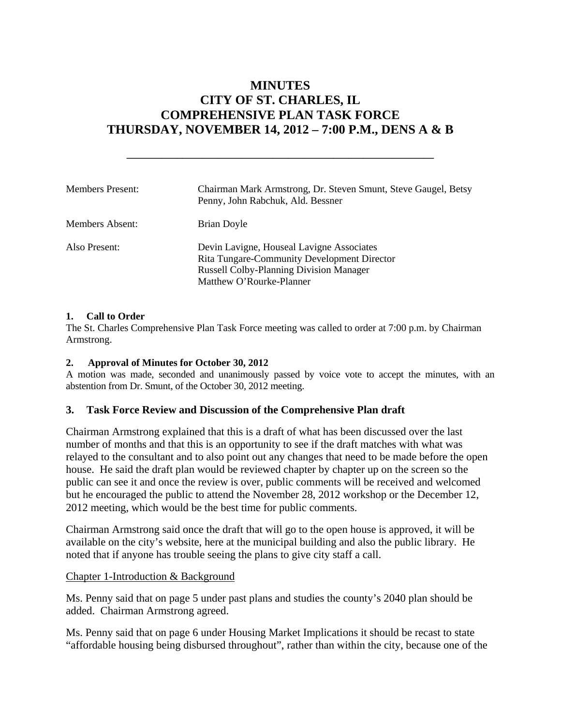# **MINUTES CITY OF ST. CHARLES, IL COMPREHENSIVE PLAN TASK FORCE THURSDAY, NOVEMBER 14, 2012 – 7:00 P.M., DENS A & B**

**\_\_\_\_\_\_\_\_\_\_\_\_\_\_\_\_\_\_\_\_\_\_\_\_\_\_\_\_\_\_\_\_\_\_\_\_\_\_\_\_\_\_\_\_\_\_\_\_\_\_\_\_\_\_\_\_\_\_\_\_\_** 

| <b>Members Present:</b> | Chairman Mark Armstrong, Dr. Steven Smunt, Steve Gaugel, Betsy<br>Penny, John Rabchuk, Ald. Bessner                                                                           |
|-------------------------|-------------------------------------------------------------------------------------------------------------------------------------------------------------------------------|
| Members Absent:         | Brian Doyle                                                                                                                                                                   |
| Also Present:           | Devin Lavigne, Houseal Lavigne Associates<br><b>Rita Tungare-Community Development Director</b><br><b>Russell Colby-Planning Division Manager</b><br>Matthew O'Rourke-Planner |

#### **1. Call to Order**

The St. Charles Comprehensive Plan Task Force meeting was called to order at 7:00 p.m. by Chairman Armstrong.

#### **2. Approval of Minutes for October 30, 2012**

A motion was made, seconded and unanimously passed by voice vote to accept the minutes, with an abstention from Dr. Smunt, of the October 30, 2012 meeting.

#### **3. Task Force Review and Discussion of the Comprehensive Plan draft**

Chairman Armstrong explained that this is a draft of what has been discussed over the last number of months and that this is an opportunity to see if the draft matches with what was relayed to the consultant and to also point out any changes that need to be made before the open house. He said the draft plan would be reviewed chapter by chapter up on the screen so the public can see it and once the review is over, public comments will be received and welcomed but he encouraged the public to attend the November 28, 2012 workshop or the December 12, 2012 meeting, which would be the best time for public comments.

Chairman Armstrong said once the draft that will go to the open house is approved, it will be available on the city's website, here at the municipal building and also the public library. He noted that if anyone has trouble seeing the plans to give city staff a call.

#### Chapter 1-Introduction & Background

Ms. Penny said that on page 5 under past plans and studies the county's 2040 plan should be added. Chairman Armstrong agreed.

Ms. Penny said that on page 6 under Housing Market Implications it should be recast to state "affordable housing being disbursed throughout", rather than within the city, because one of the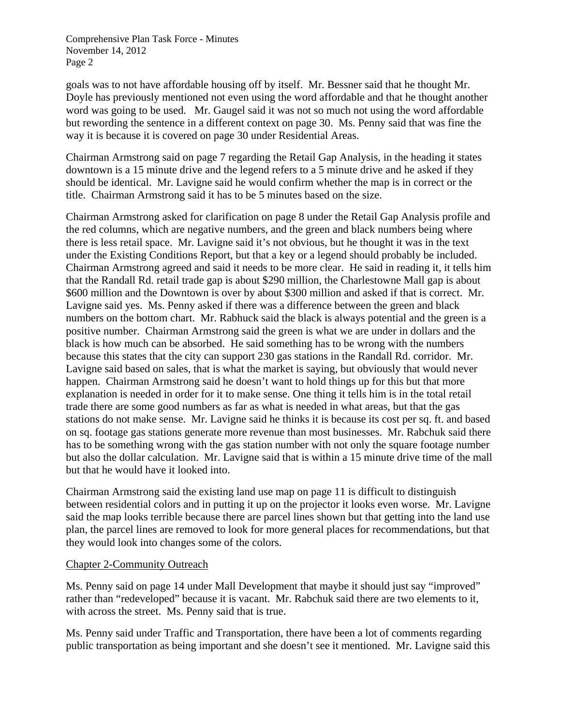goals was to not have affordable housing off by itself. Mr. Bessner said that he thought Mr. Doyle has previously mentioned not even using the word affordable and that he thought another word was going to be used. Mr. Gaugel said it was not so much not using the word affordable but rewording the sentence in a different context on page 30. Ms. Penny said that was fine the way it is because it is covered on page 30 under Residential Areas.

Chairman Armstrong said on page 7 regarding the Retail Gap Analysis, in the heading it states downtown is a 15 minute drive and the legend refers to a 5 minute drive and he asked if they should be identical. Mr. Lavigne said he would confirm whether the map is in correct or the title. Chairman Armstrong said it has to be 5 minutes based on the size.

Chairman Armstrong asked for clarification on page 8 under the Retail Gap Analysis profile and the red columns, which are negative numbers, and the green and black numbers being where there is less retail space. Mr. Lavigne said it's not obvious, but he thought it was in the text under the Existing Conditions Report, but that a key or a legend should probably be included. Chairman Armstrong agreed and said it needs to be more clear. He said in reading it, it tells him that the Randall Rd. retail trade gap is about \$290 million, the Charlestowne Mall gap is about \$600 million and the Downtown is over by about \$300 million and asked if that is correct. Mr. Lavigne said yes. Ms. Penny asked if there was a difference between the green and black numbers on the bottom chart. Mr. Rabhuck said the black is always potential and the green is a positive number. Chairman Armstrong said the green is what we are under in dollars and the black is how much can be absorbed. He said something has to be wrong with the numbers because this states that the city can support 230 gas stations in the Randall Rd. corridor. Mr. Lavigne said based on sales, that is what the market is saying, but obviously that would never happen. Chairman Armstrong said he doesn't want to hold things up for this but that more explanation is needed in order for it to make sense. One thing it tells him is in the total retail trade there are some good numbers as far as what is needed in what areas, but that the gas stations do not make sense. Mr. Lavigne said he thinks it is because its cost per sq. ft. and based on sq. footage gas stations generate more revenue than most businesses. Mr. Rabchuk said there has to be something wrong with the gas station number with not only the square footage number but also the dollar calculation. Mr. Lavigne said that is within a 15 minute drive time of the mall but that he would have it looked into.

Chairman Armstrong said the existing land use map on page 11 is difficult to distinguish between residential colors and in putting it up on the projector it looks even worse. Mr. Lavigne said the map looks terrible because there are parcel lines shown but that getting into the land use plan, the parcel lines are removed to look for more general places for recommendations, but that they would look into changes some of the colors.

### Chapter 2-Community Outreach

Ms. Penny said on page 14 under Mall Development that maybe it should just say "improved" rather than "redeveloped" because it is vacant. Mr. Rabchuk said there are two elements to it, with across the street. Ms. Penny said that is true.

Ms. Penny said under Traffic and Transportation, there have been a lot of comments regarding public transportation as being important and she doesn't see it mentioned. Mr. Lavigne said this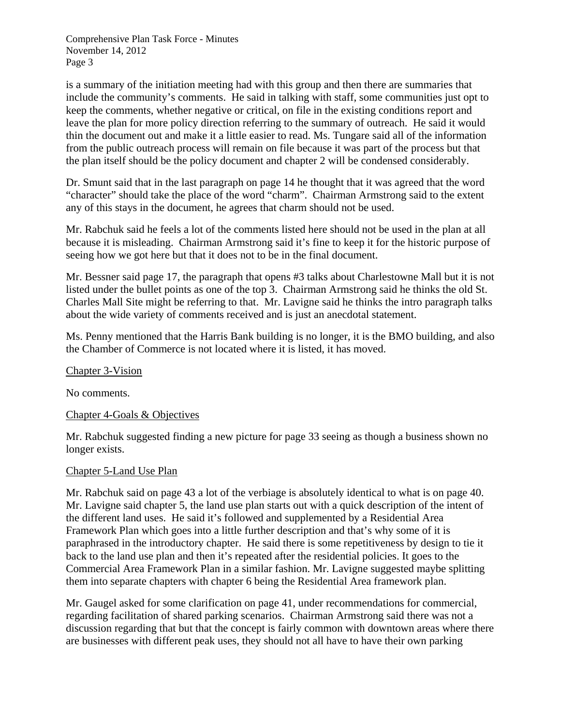is a summary of the initiation meeting had with this group and then there are summaries that include the community's comments. He said in talking with staff, some communities just opt to keep the comments, whether negative or critical, on file in the existing conditions report and leave the plan for more policy direction referring to the summary of outreach. He said it would thin the document out and make it a little easier to read. Ms. Tungare said all of the information from the public outreach process will remain on file because it was part of the process but that the plan itself should be the policy document and chapter 2 will be condensed considerably.

Dr. Smunt said that in the last paragraph on page 14 he thought that it was agreed that the word "character" should take the place of the word "charm". Chairman Armstrong said to the extent any of this stays in the document, he agrees that charm should not be used.

Mr. Rabchuk said he feels a lot of the comments listed here should not be used in the plan at all because it is misleading. Chairman Armstrong said it's fine to keep it for the historic purpose of seeing how we got here but that it does not to be in the final document.

Mr. Bessner said page 17, the paragraph that opens #3 talks about Charlestowne Mall but it is not listed under the bullet points as one of the top 3. Chairman Armstrong said he thinks the old St. Charles Mall Site might be referring to that. Mr. Lavigne said he thinks the intro paragraph talks about the wide variety of comments received and is just an anecdotal statement.

Ms. Penny mentioned that the Harris Bank building is no longer, it is the BMO building, and also the Chamber of Commerce is not located where it is listed, it has moved.

Chapter 3-Vision

No comments.

## Chapter 4-Goals & Objectives

Mr. Rabchuk suggested finding a new picture for page 33 seeing as though a business shown no longer exists.

### Chapter 5-Land Use Plan

Mr. Rabchuk said on page 43 a lot of the verbiage is absolutely identical to what is on page 40. Mr. Lavigne said chapter 5, the land use plan starts out with a quick description of the intent of the different land uses. He said it's followed and supplemented by a Residential Area Framework Plan which goes into a little further description and that's why some of it is paraphrased in the introductory chapter. He said there is some repetitiveness by design to tie it back to the land use plan and then it's repeated after the residential policies. It goes to the Commercial Area Framework Plan in a similar fashion. Mr. Lavigne suggested maybe splitting them into separate chapters with chapter 6 being the Residential Area framework plan.

Mr. Gaugel asked for some clarification on page 41, under recommendations for commercial, regarding facilitation of shared parking scenarios. Chairman Armstrong said there was not a discussion regarding that but that the concept is fairly common with downtown areas where there are businesses with different peak uses, they should not all have to have their own parking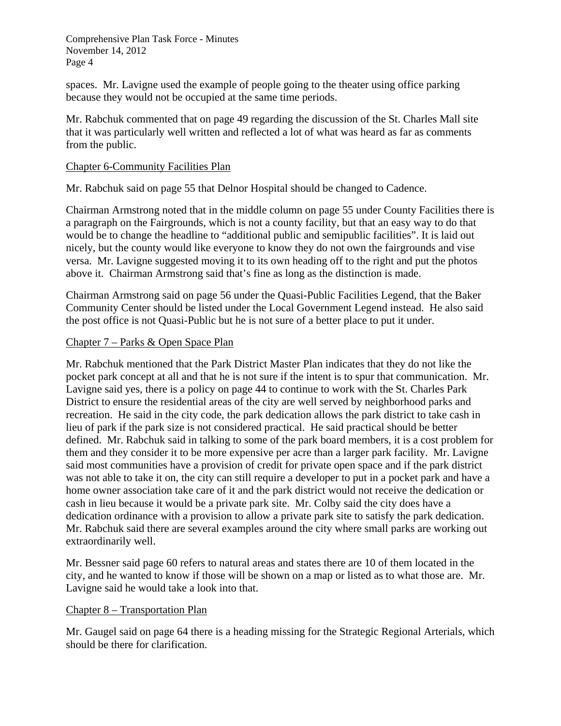spaces. Mr. Lavigne used the example of people going to the theater using office parking because they would not be occupied at the same time periods.

Mr. Rabchuk commented that on page 49 regarding the discussion of the St. Charles Mall site that it was particularly well written and reflected a lot of what was heard as far as comments from the public.

### Chapter 6-Community Facilities Plan

Mr. Rabchuk said on page 55 that Delnor Hospital should be changed to Cadence.

Chairman Armstrong noted that in the middle column on page 55 under County Facilities there is a paragraph on the Fairgrounds, which is not a county facility, but that an easy way to do that would be to change the headline to "additional public and semipublic facilities". It is laid out nicely, but the county would like everyone to know they do not own the fairgrounds and vise versa. Mr. Lavigne suggested moving it to its own heading off to the right and put the photos above it. Chairman Armstrong said that's fine as long as the distinction is made.

Chairman Armstrong said on page 56 under the Quasi-Public Facilities Legend, that the Baker Community Center should be listed under the Local Government Legend instead. He also said the post office is not Quasi-Public but he is not sure of a better place to put it under.

### Chapter 7 – Parks & Open Space Plan

Mr. Rabchuk mentioned that the Park District Master Plan indicates that they do not like the pocket park concept at all and that he is not sure if the intent is to spur that communication. Mr. Lavigne said yes, there is a policy on page 44 to continue to work with the St. Charles Park District to ensure the residential areas of the city are well served by neighborhood parks and recreation. He said in the city code, the park dedication allows the park district to take cash in lieu of park if the park size is not considered practical. He said practical should be better defined. Mr. Rabchuk said in talking to some of the park board members, it is a cost problem for them and they consider it to be more expensive per acre than a larger park facility. Mr. Lavigne said most communities have a provision of credit for private open space and if the park district was not able to take it on, the city can still require a developer to put in a pocket park and have a home owner association take care of it and the park district would not receive the dedication or cash in lieu because it would be a private park site. Mr. Colby said the city does have a dedication ordinance with a provision to allow a private park site to satisfy the park dedication. Mr. Rabchuk said there are several examples around the city where small parks are working out extraordinarily well.

Mr. Bessner said page 60 refers to natural areas and states there are 10 of them located in the city, and he wanted to know if those will be shown on a map or listed as to what those are. Mr. Lavigne said he would take a look into that.

### Chapter 8 – Transportation Plan

Mr. Gaugel said on page 64 there is a heading missing for the Strategic Regional Arterials, which should be there for clarification.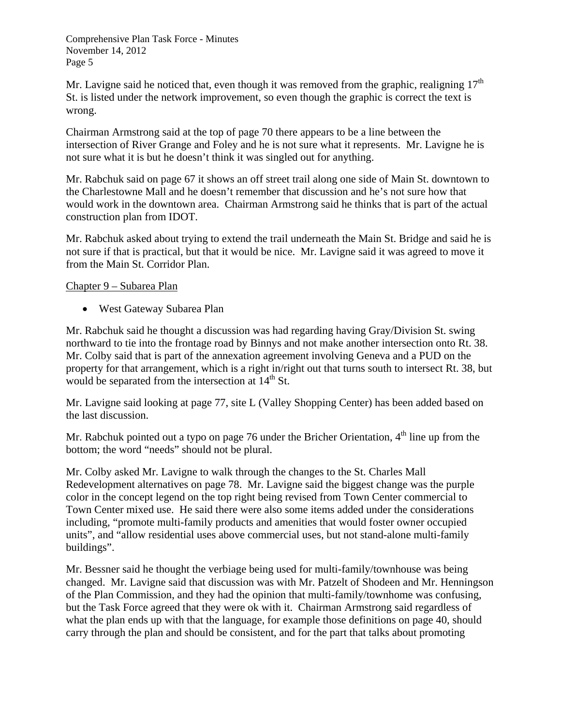Mr. Lavigne said he noticed that, even though it was removed from the graphic, realigning  $17<sup>th</sup>$ St. is listed under the network improvement, so even though the graphic is correct the text is wrong.

Chairman Armstrong said at the top of page 70 there appears to be a line between the intersection of River Grange and Foley and he is not sure what it represents. Mr. Lavigne he is not sure what it is but he doesn't think it was singled out for anything.

Mr. Rabchuk said on page 67 it shows an off street trail along one side of Main St. downtown to the Charlestowne Mall and he doesn't remember that discussion and he's not sure how that would work in the downtown area. Chairman Armstrong said he thinks that is part of the actual construction plan from IDOT.

Mr. Rabchuk asked about trying to extend the trail underneath the Main St. Bridge and said he is not sure if that is practical, but that it would be nice. Mr. Lavigne said it was agreed to move it from the Main St. Corridor Plan.

### Chapter 9 – Subarea Plan

West Gateway Subarea Plan

Mr. Rabchuk said he thought a discussion was had regarding having Gray/Division St. swing northward to tie into the frontage road by Binnys and not make another intersection onto Rt. 38. Mr. Colby said that is part of the annexation agreement involving Geneva and a PUD on the property for that arrangement, which is a right in/right out that turns south to intersect Rt. 38, but would be separated from the intersection at  $14<sup>th</sup>$  St.

Mr. Lavigne said looking at page 77, site L (Valley Shopping Center) has been added based on the last discussion.

Mr. Rabchuk pointed out a typo on page 76 under the Bricher Orientation, 4<sup>th</sup> line up from the bottom; the word "needs" should not be plural.

Mr. Colby asked Mr. Lavigne to walk through the changes to the St. Charles Mall Redevelopment alternatives on page 78. Mr. Lavigne said the biggest change was the purple color in the concept legend on the top right being revised from Town Center commercial to Town Center mixed use. He said there were also some items added under the considerations including, "promote multi-family products and amenities that would foster owner occupied units", and "allow residential uses above commercial uses, but not stand-alone multi-family buildings".

Mr. Bessner said he thought the verbiage being used for multi-family/townhouse was being changed. Mr. Lavigne said that discussion was with Mr. Patzelt of Shodeen and Mr. Henningson of the Plan Commission, and they had the opinion that multi-family/townhome was confusing, but the Task Force agreed that they were ok with it. Chairman Armstrong said regardless of what the plan ends up with that the language, for example those definitions on page 40, should carry through the plan and should be consistent, and for the part that talks about promoting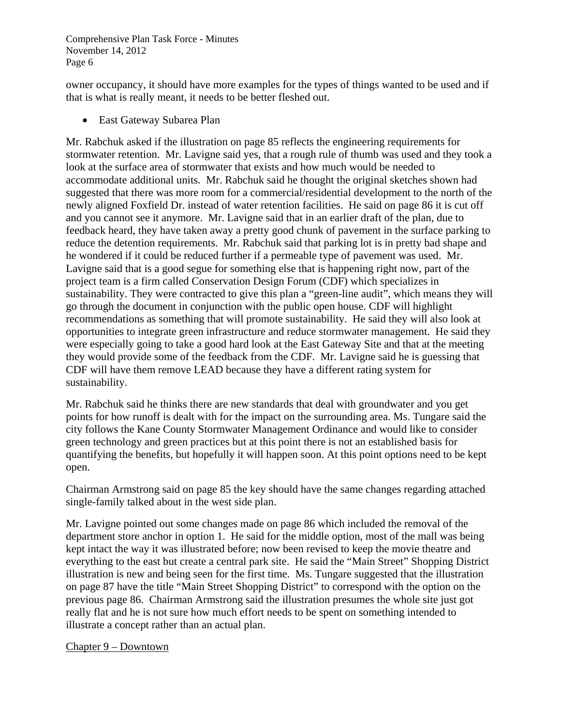owner occupancy, it should have more examples for the types of things wanted to be used and if that is what is really meant, it needs to be better fleshed out.

East Gateway Subarea Plan

Mr. Rabchuk asked if the illustration on page 85 reflects the engineering requirements for stormwater retention. Mr. Lavigne said yes, that a rough rule of thumb was used and they took a look at the surface area of stormwater that exists and how much would be needed to accommodate additional units. Mr. Rabchuk said he thought the original sketches shown had suggested that there was more room for a commercial/residential development to the north of the newly aligned Foxfield Dr. instead of water retention facilities. He said on page 86 it is cut off and you cannot see it anymore. Mr. Lavigne said that in an earlier draft of the plan, due to feedback heard, they have taken away a pretty good chunk of pavement in the surface parking to reduce the detention requirements. Mr. Rabchuk said that parking lot is in pretty bad shape and he wondered if it could be reduced further if a permeable type of pavement was used. Mr. Lavigne said that is a good segue for something else that is happening right now, part of the project team is a firm called Conservation Design Forum (CDF) which specializes in sustainability. They were contracted to give this plan a "green-line audit", which means they will go through the document in conjunction with the public open house. CDF will highlight recommendations as something that will promote sustainability. He said they will also look at opportunities to integrate green infrastructure and reduce stormwater management. He said they were especially going to take a good hard look at the East Gateway Site and that at the meeting they would provide some of the feedback from the CDF. Mr. Lavigne said he is guessing that CDF will have them remove LEAD because they have a different rating system for sustainability.

Mr. Rabchuk said he thinks there are new standards that deal with groundwater and you get points for how runoff is dealt with for the impact on the surrounding area. Ms. Tungare said the city follows the Kane County Stormwater Management Ordinance and would like to consider green technology and green practices but at this point there is not an established basis for quantifying the benefits, but hopefully it will happen soon. At this point options need to be kept open.

Chairman Armstrong said on page 85 the key should have the same changes regarding attached single-family talked about in the west side plan.

Mr. Lavigne pointed out some changes made on page 86 which included the removal of the department store anchor in option 1. He said for the middle option, most of the mall was being kept intact the way it was illustrated before; now been revised to keep the movie theatre and everything to the east but create a central park site. He said the "Main Street" Shopping District illustration is new and being seen for the first time. Ms. Tungare suggested that the illustration on page 87 have the title "Main Street Shopping District" to correspond with the option on the previous page 86. Chairman Armstrong said the illustration presumes the whole site just got really flat and he is not sure how much effort needs to be spent on something intended to illustrate a concept rather than an actual plan.

Chapter 9 – Downtown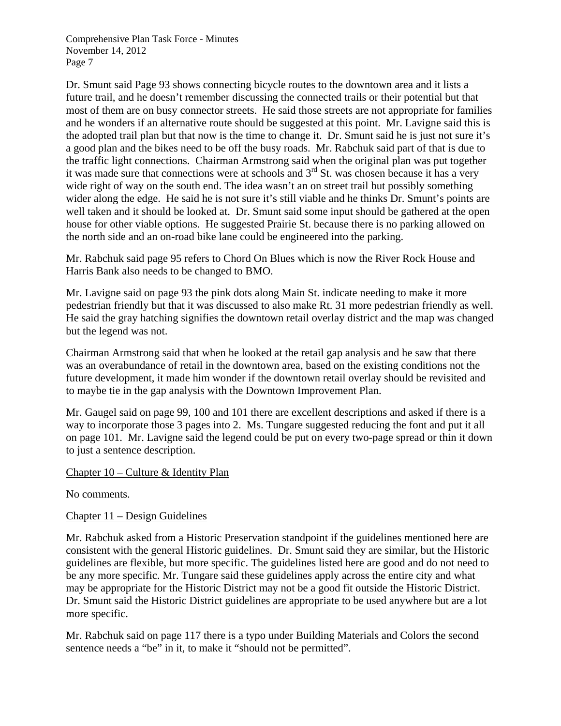Dr. Smunt said Page 93 shows connecting bicycle routes to the downtown area and it lists a future trail, and he doesn't remember discussing the connected trails or their potential but that most of them are on busy connector streets. He said those streets are not appropriate for families and he wonders if an alternative route should be suggested at this point. Mr. Lavigne said this is the adopted trail plan but that now is the time to change it. Dr. Smunt said he is just not sure it's a good plan and the bikes need to be off the busy roads. Mr. Rabchuk said part of that is due to the traffic light connections. Chairman Armstrong said when the original plan was put together it was made sure that connections were at schools and 3<sup>rd</sup> St. was chosen because it has a very wide right of way on the south end. The idea wasn't an on street trail but possibly something wider along the edge. He said he is not sure it's still viable and he thinks Dr. Smunt's points are well taken and it should be looked at. Dr. Smunt said some input should be gathered at the open house for other viable options. He suggested Prairie St. because there is no parking allowed on the north side and an on-road bike lane could be engineered into the parking.

Mr. Rabchuk said page 95 refers to Chord On Blues which is now the River Rock House and Harris Bank also needs to be changed to BMO.

Mr. Lavigne said on page 93 the pink dots along Main St. indicate needing to make it more pedestrian friendly but that it was discussed to also make Rt. 31 more pedestrian friendly as well. He said the gray hatching signifies the downtown retail overlay district and the map was changed but the legend was not.

Chairman Armstrong said that when he looked at the retail gap analysis and he saw that there was an overabundance of retail in the downtown area, based on the existing conditions not the future development, it made him wonder if the downtown retail overlay should be revisited and to maybe tie in the gap analysis with the Downtown Improvement Plan.

Mr. Gaugel said on page 99, 100 and 101 there are excellent descriptions and asked if there is a way to incorporate those 3 pages into 2. Ms. Tungare suggested reducing the font and put it all on page 101. Mr. Lavigne said the legend could be put on every two-page spread or thin it down to just a sentence description.

### Chapter 10 – Culture & Identity Plan

No comments.

### Chapter 11 – Design Guidelines

Mr. Rabchuk asked from a Historic Preservation standpoint if the guidelines mentioned here are consistent with the general Historic guidelines. Dr. Smunt said they are similar, but the Historic guidelines are flexible, but more specific. The guidelines listed here are good and do not need to be any more specific. Mr. Tungare said these guidelines apply across the entire city and what may be appropriate for the Historic District may not be a good fit outside the Historic District. Dr. Smunt said the Historic District guidelines are appropriate to be used anywhere but are a lot more specific.

Mr. Rabchuk said on page 117 there is a typo under Building Materials and Colors the second sentence needs a "be" in it, to make it "should not be permitted".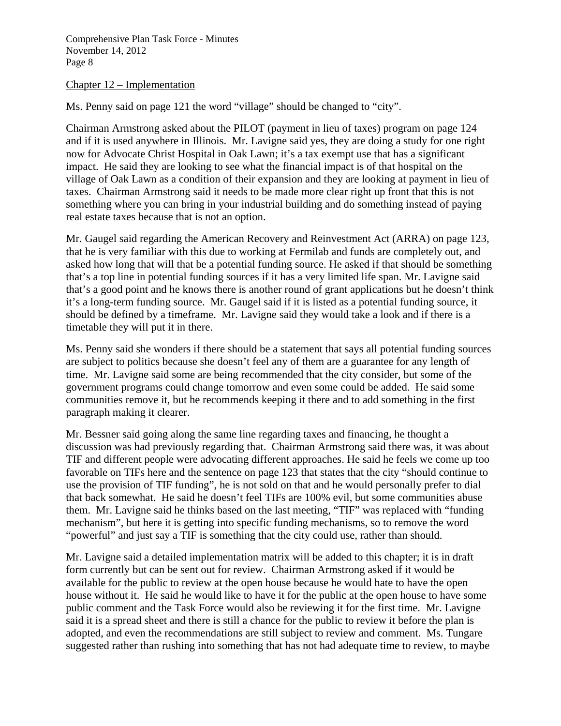#### Chapter 12 – Implementation

Ms. Penny said on page 121 the word "village" should be changed to "city".

Chairman Armstrong asked about the PILOT (payment in lieu of taxes) program on page 124 and if it is used anywhere in Illinois. Mr. Lavigne said yes, they are doing a study for one right now for Advocate Christ Hospital in Oak Lawn; it's a tax exempt use that has a significant impact. He said they are looking to see what the financial impact is of that hospital on the village of Oak Lawn as a condition of their expansion and they are looking at payment in lieu of taxes. Chairman Armstrong said it needs to be made more clear right up front that this is not something where you can bring in your industrial building and do something instead of paying real estate taxes because that is not an option.

Mr. Gaugel said regarding the American Recovery and Reinvestment Act (ARRA) on page 123, that he is very familiar with this due to working at Fermilab and funds are completely out, and asked how long that will that be a potential funding source. He asked if that should be something that's a top line in potential funding sources if it has a very limited life span. Mr. Lavigne said that's a good point and he knows there is another round of grant applications but he doesn't think it's a long-term funding source. Mr. Gaugel said if it is listed as a potential funding source, it should be defined by a timeframe. Mr. Lavigne said they would take a look and if there is a timetable they will put it in there.

Ms. Penny said she wonders if there should be a statement that says all potential funding sources are subject to politics because she doesn't feel any of them are a guarantee for any length of time. Mr. Lavigne said some are being recommended that the city consider, but some of the government programs could change tomorrow and even some could be added. He said some communities remove it, but he recommends keeping it there and to add something in the first paragraph making it clearer.

Mr. Bessner said going along the same line regarding taxes and financing, he thought a discussion was had previously regarding that. Chairman Armstrong said there was, it was about TIF and different people were advocating different approaches. He said he feels we come up too favorable on TIFs here and the sentence on page 123 that states that the city "should continue to use the provision of TIF funding", he is not sold on that and he would personally prefer to dial that back somewhat. He said he doesn't feel TIFs are 100% evil, but some communities abuse them. Mr. Lavigne said he thinks based on the last meeting, "TIF" was replaced with "funding mechanism", but here it is getting into specific funding mechanisms, so to remove the word "powerful" and just say a TIF is something that the city could use, rather than should.

Mr. Lavigne said a detailed implementation matrix will be added to this chapter; it is in draft form currently but can be sent out for review. Chairman Armstrong asked if it would be available for the public to review at the open house because he would hate to have the open house without it. He said he would like to have it for the public at the open house to have some public comment and the Task Force would also be reviewing it for the first time. Mr. Lavigne said it is a spread sheet and there is still a chance for the public to review it before the plan is adopted, and even the recommendations are still subject to review and comment. Ms. Tungare suggested rather than rushing into something that has not had adequate time to review, to maybe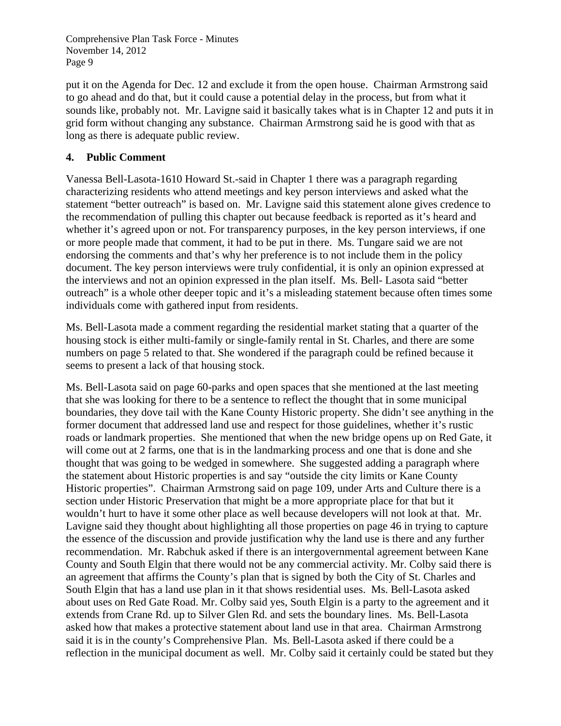put it on the Agenda for Dec. 12 and exclude it from the open house. Chairman Armstrong said to go ahead and do that, but it could cause a potential delay in the process, but from what it sounds like, probably not. Mr. Lavigne said it basically takes what is in Chapter 12 and puts it in grid form without changing any substance. Chairman Armstrong said he is good with that as long as there is adequate public review.

## **4. Public Comment**

Vanessa Bell-Lasota-1610 Howard St.-said in Chapter 1 there was a paragraph regarding characterizing residents who attend meetings and key person interviews and asked what the statement "better outreach" is based on. Mr. Lavigne said this statement alone gives credence to the recommendation of pulling this chapter out because feedback is reported as it's heard and whether it's agreed upon or not. For transparency purposes, in the key person interviews, if one or more people made that comment, it had to be put in there. Ms. Tungare said we are not endorsing the comments and that's why her preference is to not include them in the policy document. The key person interviews were truly confidential, it is only an opinion expressed at the interviews and not an opinion expressed in the plan itself. Ms. Bell- Lasota said "better outreach" is a whole other deeper topic and it's a misleading statement because often times some individuals come with gathered input from residents.

Ms. Bell-Lasota made a comment regarding the residential market stating that a quarter of the housing stock is either multi-family or single-family rental in St. Charles, and there are some numbers on page 5 related to that. She wondered if the paragraph could be refined because it seems to present a lack of that housing stock.

Ms. Bell-Lasota said on page 60-parks and open spaces that she mentioned at the last meeting that she was looking for there to be a sentence to reflect the thought that in some municipal boundaries, they dove tail with the Kane County Historic property. She didn't see anything in the former document that addressed land use and respect for those guidelines, whether it's rustic roads or landmark properties. She mentioned that when the new bridge opens up on Red Gate, it will come out at 2 farms, one that is in the landmarking process and one that is done and she thought that was going to be wedged in somewhere. She suggested adding a paragraph where the statement about Historic properties is and say "outside the city limits or Kane County Historic properties".Chairman Armstrong said on page 109, under Arts and Culture there is a section under Historic Preservation that might be a more appropriate place for that but it wouldn't hurt to have it some other place as well because developers will not look at that. Mr. Lavigne said they thought about highlighting all those properties on page 46 in trying to capture the essence of the discussion and provide justification why the land use is there and any further recommendation. Mr. Rabchuk asked if there is an intergovernmental agreement between Kane County and South Elgin that there would not be any commercial activity. Mr. Colby said there is an agreement that affirms the County's plan that is signed by both the City of St. Charles and South Elgin that has a land use plan in it that shows residential uses. Ms. Bell-Lasota asked about uses on Red Gate Road. Mr. Colby said yes, South Elgin is a party to the agreement and it extends from Crane Rd. up to Silver Glen Rd. and sets the boundary lines. Ms. Bell-Lasota asked how that makes a protective statement about land use in that area. Chairman Armstrong said it is in the county's Comprehensive Plan. Ms. Bell-Lasota asked if there could be a reflection in the municipal document as well. Mr. Colby said it certainly could be stated but they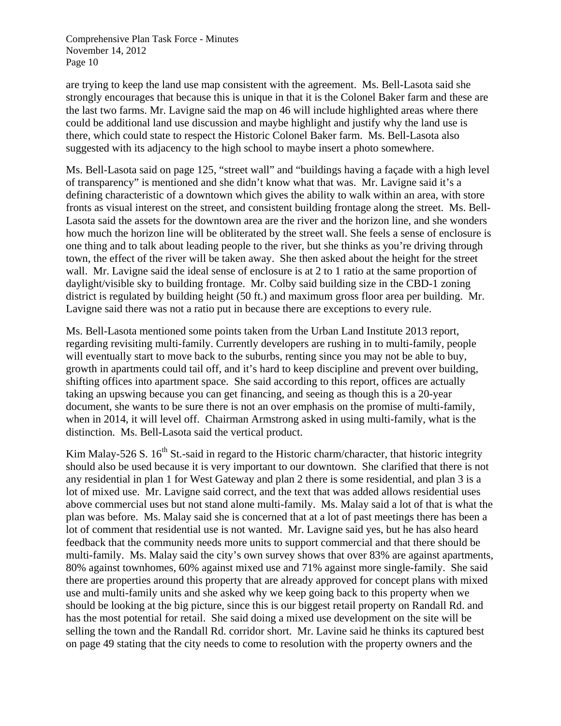are trying to keep the land use map consistent with the agreement. Ms. Bell-Lasota said she strongly encourages that because this is unique in that it is the Colonel Baker farm and these are the last two farms. Mr. Lavigne said the map on 46 will include highlighted areas where there could be additional land use discussion and maybe highlight and justify why the land use is there, which could state to respect the Historic Colonel Baker farm. Ms. Bell-Lasota also suggested with its adjacency to the high school to maybe insert a photo somewhere.

Ms. Bell-Lasota said on page 125, "street wall" and "buildings having a façade with a high level of transparency" is mentioned and she didn't know what that was. Mr. Lavigne said it's a defining characteristic of a downtown which gives the ability to walk within an area, with store fronts as visual interest on the street, and consistent building frontage along the street. Ms. Bell-Lasota said the assets for the downtown area are the river and the horizon line, and she wonders how much the horizon line will be obliterated by the street wall. She feels a sense of enclosure is one thing and to talk about leading people to the river, but she thinks as you're driving through town, the effect of the river will be taken away. She then asked about the height for the street wall. Mr. Lavigne said the ideal sense of enclosure is at 2 to 1 ratio at the same proportion of daylight/visible sky to building frontage. Mr. Colby said building size in the CBD-1 zoning district is regulated by building height (50 ft.) and maximum gross floor area per building. Mr. Lavigne said there was not a ratio put in because there are exceptions to every rule.

Ms. Bell-Lasota mentioned some points taken from the Urban Land Institute 2013 report, regarding revisiting multi-family. Currently developers are rushing in to multi-family, people will eventually start to move back to the suburbs, renting since you may not be able to buy, growth in apartments could tail off, and it's hard to keep discipline and prevent over building, shifting offices into apartment space. She said according to this report, offices are actually taking an upswing because you can get financing, and seeing as though this is a 20-year document, she wants to be sure there is not an over emphasis on the promise of multi-family, when in 2014, it will level off. Chairman Armstrong asked in using multi-family, what is the distinction. Ms. Bell-Lasota said the vertical product.

Kim Malay-526 S.  $16<sup>th</sup>$  St.-said in regard to the Historic charm/character, that historic integrity should also be used because it is very important to our downtown. She clarified that there is not any residential in plan 1 for West Gateway and plan 2 there is some residential, and plan 3 is a lot of mixed use. Mr. Lavigne said correct, and the text that was added allows residential uses above commercial uses but not stand alone multi-family. Ms. Malay said a lot of that is what the plan was before. Ms. Malay said she is concerned that at a lot of past meetings there has been a lot of comment that residential use is not wanted. Mr. Lavigne said yes, but he has also heard feedback that the community needs more units to support commercial and that there should be multi-family. Ms. Malay said the city's own survey shows that over 83% are against apartments, 80% against townhomes, 60% against mixed use and 71% against more single-family. She said there are properties around this property that are already approved for concept plans with mixed use and multi-family units and she asked why we keep going back to this property when we should be looking at the big picture, since this is our biggest retail property on Randall Rd. and has the most potential for retail. She said doing a mixed use development on the site will be selling the town and the Randall Rd. corridor short. Mr. Lavine said he thinks its captured best on page 49 stating that the city needs to come to resolution with the property owners and the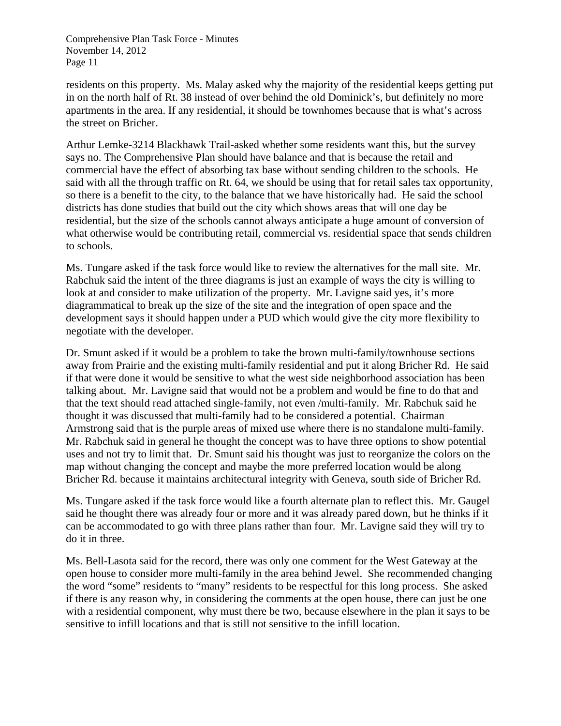residents on this property. Ms. Malay asked why the majority of the residential keeps getting put in on the north half of Rt. 38 instead of over behind the old Dominick's, but definitely no more apartments in the area. If any residential, it should be townhomes because that is what's across the street on Bricher.

Arthur Lemke-3214 Blackhawk Trail-asked whether some residents want this, but the survey says no. The Comprehensive Plan should have balance and that is because the retail and commercial have the effect of absorbing tax base without sending children to the schools. He said with all the through traffic on Rt. 64, we should be using that for retail sales tax opportunity, so there is a benefit to the city, to the balance that we have historically had. He said the school districts has done studies that build out the city which shows areas that will one day be residential, but the size of the schools cannot always anticipate a huge amount of conversion of what otherwise would be contributing retail, commercial vs. residential space that sends children to schools.

Ms. Tungare asked if the task force would like to review the alternatives for the mall site. Mr. Rabchuk said the intent of the three diagrams is just an example of ways the city is willing to look at and consider to make utilization of the property. Mr. Lavigne said yes, it's more diagrammatical to break up the size of the site and the integration of open space and the development says it should happen under a PUD which would give the city more flexibility to negotiate with the developer.

Dr. Smunt asked if it would be a problem to take the brown multi-family/townhouse sections away from Prairie and the existing multi-family residential and put it along Bricher Rd. He said if that were done it would be sensitive to what the west side neighborhood association has been talking about. Mr. Lavigne said that would not be a problem and would be fine to do that and that the text should read attached single-family, not even /multi-family. Mr. Rabchuk said he thought it was discussed that multi-family had to be considered a potential. Chairman Armstrong said that is the purple areas of mixed use where there is no standalone multi-family. Mr. Rabchuk said in general he thought the concept was to have three options to show potential uses and not try to limit that. Dr. Smunt said his thought was just to reorganize the colors on the map without changing the concept and maybe the more preferred location would be along Bricher Rd. because it maintains architectural integrity with Geneva, south side of Bricher Rd.

Ms. Tungare asked if the task force would like a fourth alternate plan to reflect this. Mr. Gaugel said he thought there was already four or more and it was already pared down, but he thinks if it can be accommodated to go with three plans rather than four. Mr. Lavigne said they will try to do it in three.

Ms. Bell-Lasota said for the record, there was only one comment for the West Gateway at the open house to consider more multi-family in the area behind Jewel. She recommended changing the word "some" residents to "many" residents to be respectful for this long process. She asked if there is any reason why, in considering the comments at the open house, there can just be one with a residential component, why must there be two, because elsewhere in the plan it says to be sensitive to infill locations and that is still not sensitive to the infill location.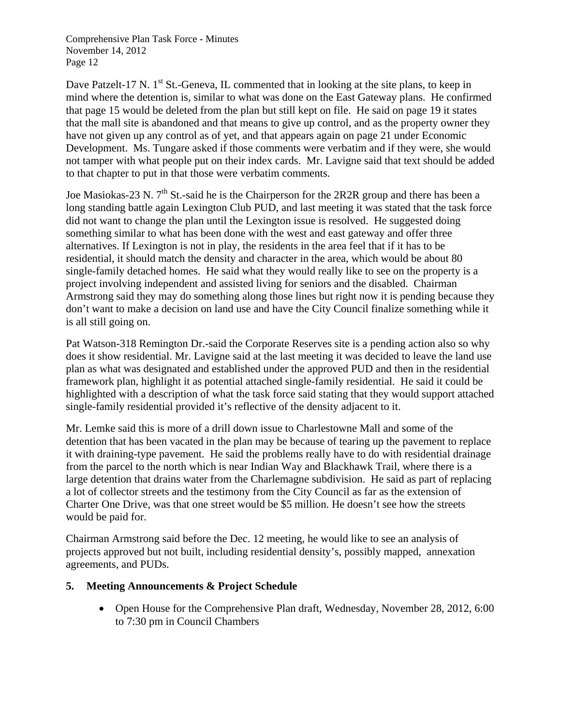Dave Patzelt-17 N. 1<sup>st</sup> St.-Geneva, IL commented that in looking at the site plans, to keep in mind where the detention is, similar to what was done on the East Gateway plans. He confirmed that page 15 would be deleted from the plan but still kept on file. He said on page 19 it states that the mall site is abandoned and that means to give up control, and as the property owner they have not given up any control as of yet, and that appears again on page 21 under Economic Development. Ms. Tungare asked if those comments were verbatim and if they were, she would not tamper with what people put on their index cards. Mr. Lavigne said that text should be added to that chapter to put in that those were verbatim comments.

Joe Masiokas-23 N.  $7<sup>th</sup>$  St.-said he is the Chairperson for the 2R2R group and there has been a long standing battle again Lexington Club PUD, and last meeting it was stated that the task force did not want to change the plan until the Lexington issue is resolved. He suggested doing something similar to what has been done with the west and east gateway and offer three alternatives. If Lexington is not in play, the residents in the area feel that if it has to be residential, it should match the density and character in the area, which would be about 80 single-family detached homes. He said what they would really like to see on the property is a project involving independent and assisted living for seniors and the disabled. Chairman Armstrong said they may do something along those lines but right now it is pending because they don't want to make a decision on land use and have the City Council finalize something while it is all still going on.

Pat Watson-318 Remington Dr.-said the Corporate Reserves site is a pending action also so why does it show residential. Mr. Lavigne said at the last meeting it was decided to leave the land use plan as what was designated and established under the approved PUD and then in the residential framework plan, highlight it as potential attached single-family residential. He said it could be highlighted with a description of what the task force said stating that they would support attached single-family residential provided it's reflective of the density adjacent to it.

Mr. Lemke said this is more of a drill down issue to Charlestowne Mall and some of the detention that has been vacated in the plan may be because of tearing up the pavement to replace it with draining-type pavement. He said the problems really have to do with residential drainage from the parcel to the north which is near Indian Way and Blackhawk Trail, where there is a large detention that drains water from the Charlemagne subdivision. He said as part of replacing a lot of collector streets and the testimony from the City Council as far as the extension of Charter One Drive, was that one street would be \$5 million. He doesn't see how the streets would be paid for.

Chairman Armstrong said before the Dec. 12 meeting, he would like to see an analysis of projects approved but not built, including residential density's, possibly mapped, annexation agreements, and PUDs.

## **5. Meeting Announcements & Project Schedule**

• Open House for the Comprehensive Plan draft, Wednesday, November 28, 2012, 6:00 to 7:30 pm in Council Chambers